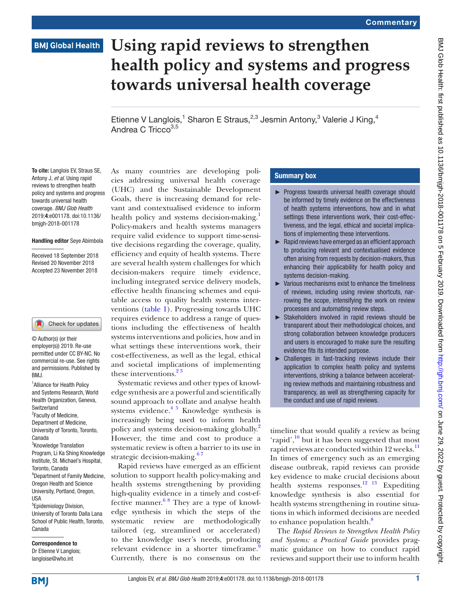# **BMJ Global Health**

# **Using rapid reviews to strengthen health policy and systems and progress towards universal health coverage**

Etienne V Langlois,<sup>1</sup> Sharon E Straus,<sup>2,3</sup> Jesmin Antony,<sup>3</sup> Valerie J King,<sup>4</sup> Andrea C Tricco<sup>3,5</sup>

To cite: Langlois EV, Straus SE, Antony J, *et al*. Using rapid reviews to strengthen health policy and systems and progress towards universal health coverage. *BMJ Glob Health* 2019;4:e001178. doi:10.1136/ bmjgh-2018-001178

#### Handling editor Seye Abimbola

Received 18 September 2018 Revised 20 November 2018 Accepted 23 November 2018

#### Check for updates

© Author(s) (or their employer(s)) 2019. Re-use permitted under CC BY-NC. No commercial re-use. See rights and permissions. Published by BMJ.

<sup>1</sup> Alliance for Health Policy and Systems Research, World Health Organization, Geneva, Switzerland <sup>2</sup> Faculty of Medicine, Department of Medicine, University of Toronto, Toronto, Canada <sup>3</sup>Knowledge Translation Program, Li Ka Shing Knowledge Institute, St. Michael's Hospital, Toronto, Canada 4 Department of Family Medicine, Oregon Health and Science University, Portland, Oregon, USA 5 Epidemiology Division, University of Toronto Dalla Lana School of Public Health, Toronto, Canada

Correspondence to Dr Etienne V Langlois; langloise@who.int

As many countries are developing policies addressing universal health coverage (UHC) and the Sustainable Development Goals, there is increasing demand for relevant and contextualised evidence to inform health policy and systems decision-making.<sup>[1](#page-3-0)</sup> Policy-makers and health systems managers require valid evidence to support time-sensitive decisions regarding the coverage, quality, efficiency and equity of health systems. There are several health system challenges for which decision-makers require timely evidence, including integrated service delivery models, effective health financing schemes and equitable access to quality health systems interventions [\(table](#page-1-0) 1). Progressing towards UHC requires evidence to address a range of questions including the effectiveness of health systems interventions and policies, how and in what settings these interventions work, their cost-effectiveness, as well as the legal, ethical and societal implications of implementing these interventions. $2^3$ 

Systematic reviews and other types of knowledge synthesis are a powerful and scientifically sound approach to collate and analyse health systems evidence. $4\frac{1}{2}$  Knowledge synthesis is increasingly being used to inform health policy and systems decision-making globally.<sup>2</sup> However, the time and cost to produce a systematic review is often a barrier to its use in strategic decision-making.<sup>67</sup>

Rapid reviews have emerged as an efficient solution to support health policy-making and health systems strengthening by providing high-quality evidence in a timely and cost-effective manner. $68$  They are a type of knowledge synthesis in which the steps of the systematic review are methodologically tailored (eg, streamlined or accelerated) to the knowledge user's needs, producing relevant evidence in a shorter timeframe. Currently, there is no consensus on the

## Summary box

- ► Progress towards universal health coverage should be informed by timely evidence on the effectiveness of health systems interventions, how and in what settings these interventions work, their cost-effectiveness, and the legal, ethical and societal implications of implementing these interventions.
- ► Rapid reviews have emerged as an efficient approach to producing relevant and contextualised evidence often arising from requests by decision-makers, thus enhancing their applicability for health policy and systems decision-making.
- ► Various mechanisms exist to enhance the timeliness of reviews, including using review shortcuts, narrowing the scope, intensifying the work on review processes and automating review steps.
- ► Stakeholders involved in rapid reviews should be transparent about their methodological choices, and strong collaboration between knowledge producers and users is encouraged to make sure the resulting evidence fits its intended purpose.
- ► Challenges in fast-tracking reviews include their application to complex health policy and systems interventions, striking a balance between accelerating review methods and maintaining robustness and transparency, as well as strengthening capacity for the conduct and use of rapid reviews.

timeline that would qualify a review as being 'rapid',<sup>10</sup> but it has been suggested that most rapid reviews are conducted within 12 weeks.<sup>11</sup> In times of emergency such as an emerging disease outbreak, rapid reviews can provide key evidence to make crucial decisions about health systems responses.<sup>12</sup> <sup>13</sup> Expediting knowledge synthesis is also essential for health systems strengthening in routine situations in which informed decisions are needed to enhance population health.<sup>[8](#page-3-8)</sup>

The *Rapid Reviews to Strengthen Health Policy and Systems: a Practical Guide* provides pragmatic guidance on how to conduct rapid reviews and support their use to inform health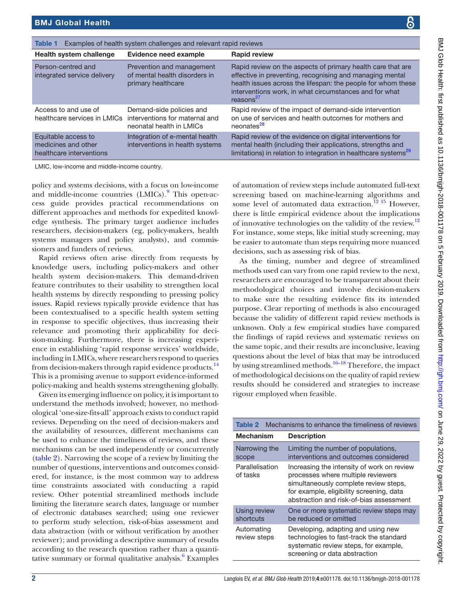| トリーン・テン                                                              |  |
|----------------------------------------------------------------------|--|
|                                                                      |  |
|                                                                      |  |
|                                                                      |  |
|                                                                      |  |
|                                                                      |  |
|                                                                      |  |
|                                                                      |  |
|                                                                      |  |
|                                                                      |  |
|                                                                      |  |
|                                                                      |  |
|                                                                      |  |
|                                                                      |  |
| irsh+ フェェトエisトフゥユ ) ハ 1つ 11の/トフォiント ンフ1の つつ117の ファ mフトァェ。ファ、 フつ1つ ワ、 |  |
|                                                                      |  |
|                                                                      |  |
|                                                                      |  |
|                                                                      |  |
|                                                                      |  |
|                                                                      |  |
|                                                                      |  |
|                                                                      |  |
|                                                                      |  |
|                                                                      |  |
|                                                                      |  |
|                                                                      |  |
|                                                                      |  |
|                                                                      |  |
|                                                                      |  |
|                                                                      |  |
|                                                                      |  |
|                                                                      |  |
|                                                                      |  |
|                                                                      |  |
|                                                                      |  |
|                                                                      |  |
| ていこう                                                                 |  |
|                                                                      |  |
|                                                                      |  |
|                                                                      |  |
|                                                                      |  |
|                                                                      |  |
|                                                                      |  |
|                                                                      |  |
|                                                                      |  |
|                                                                      |  |
|                                                                      |  |
|                                                                      |  |
|                                                                      |  |
|                                                                      |  |
|                                                                      |  |
|                                                                      |  |
|                                                                      |  |
|                                                                      |  |
|                                                                      |  |
|                                                                      |  |
|                                                                      |  |
|                                                                      |  |
|                                                                      |  |
|                                                                      |  |
|                                                                      |  |

<span id="page-1-0"></span>

| Examples of health system challenges and relevant rapid reviews<br><b>Table 1</b> |                                                                                         |                                                                                                                                                                                                                                                                            |  |
|-----------------------------------------------------------------------------------|-----------------------------------------------------------------------------------------|----------------------------------------------------------------------------------------------------------------------------------------------------------------------------------------------------------------------------------------------------------------------------|--|
| Health system challenge                                                           | Evidence need example                                                                   | <b>Rapid review</b>                                                                                                                                                                                                                                                        |  |
| Person-centred and<br>integrated service delivery                                 | Prevention and management<br>of mental health disorders in<br>primary healthcare        | Rapid review on the aspects of primary health care that are<br>effective in preventing, recognising and managing mental<br>health issues across the lifespan: the people for whom these<br>interventions work, in what circumstances and for what<br>reasons <sup>27</sup> |  |
| Access to and use of<br>healthcare services in LMICs                              | Demand-side policies and<br>interventions for maternal and<br>neonatal health in I MICs | Rapid review of the impact of demand-side intervention<br>on use of services and health outcomes for mothers and<br>neonates <sup>28</sup>                                                                                                                                 |  |
| Equitable access to<br>medicines and other<br>healthcare interventions            | Integration of e-mental health<br>interventions in health systems                       | Rapid review of the evidence on digital interventions for<br>mental health (including their applications, strengths and<br>limitations) in relation to integration in healthcare systems <sup>29</sup>                                                                     |  |

LMIC, low-income and middle-income country.

policy and systems decisions, with a focus on low-income and middle-income countries  $(LMICs)$ . This open-access guide provides practical recommendations on different approaches and methods for expedited knowledge synthesis. The primary target audience includes researchers, decision-makers (eg, policy-makers, health systems managers and policy analysts), and commissioners and funders of reviews.

Rapid reviews often arise directly from requests by knowledge users, including policy-makers and other health system decision-makers. This demand-driven feature contributes to their usability to strengthen local health systems by directly responding to pressing policy issues. Rapid reviews typically provide evidence that has been contextualised to a specific health system setting in response to specific objectives, thus increasing their relevance and promoting their applicability for decision-making. Furthermore, there is increasing experience in establishing 'rapid response services' worldwide, including in LMICs, where researchers respond to queries from decision-makers through rapid evidence products.<sup>14</sup> This is a promising avenue to support evidence-informed policy-making and health systems strengthening globally.

Given its emerging influence on policy, it is important to understand the methods involved; however, no methodological 'one-size-fits-all' approach exists to conduct rapid reviews. Depending on the need of decision-makers and the availability of resources, different mechanisms can be used to enhance the timeliness of reviews, and these mechanisms can be used independently or concurrently [\(table](#page-1-1) 2). Narrowing the scope of a review by limiting the number of questions, interventions and outcomes considered, for instance, is the most common way to address time constraints associated with conducting a rapid review. Other potential streamlined methods include limiting the literature search dates, language or number of electronic databases searched; using one reviewer to perform study selection, risk-of-bias assessment and data abstraction (with or without verification by another reviewer); and providing a descriptive summary of results according to the research question rather than a quanti-tative summary or formal qualitative analysis.<sup>[6](#page-3-3)</sup> Examples of automation of review steps include automated full-text screening based on machine-learning algorithms and some level of automated data extraction.<sup> $12\ 15$ </sup> However, there is little empirical evidence about the implications of innovative technologies on the validity of the review.<sup>[12](#page-3-7)</sup> For instance, some steps, like initial study screening, may be easier to automate than steps requiring more nuanced decisions, such as assessing risk of bias.

As the timing, number and degree of streamlined methods used can vary from one rapid review to the next, researchers are encouraged to be transparent about their methodological choices and involve decision-makers to make sure the resulting evidence fits its intended purpose. Clear reporting of methods is also encouraged because the validity of different rapid review methods is unknown. Only a few empirical studies have compared the findings of rapid reviews and systematic reviews on the same topic, and their results are inconclusive, leaving questions about the level of bias that may be introduced by using streamlined methods.<sup>16–18</sup> Therefore, the impact of methodological decisions on the quality of rapid review results should be considered and strategies to increase rigour employed when feasible.

<span id="page-1-1"></span>

| Table 2                     | Mechanisms to enhance the timeliness of reviews                                                                                                                                                                  |  |  |
|-----------------------------|------------------------------------------------------------------------------------------------------------------------------------------------------------------------------------------------------------------|--|--|
| <b>Mechanism</b>            | <b>Description</b>                                                                                                                                                                                               |  |  |
| Narrowing the<br>scope      | Limiting the number of populations,<br>interventions and outcomes considered                                                                                                                                     |  |  |
| Parallelisation<br>of tasks | Increasing the intensity of work on review<br>processes where multiple reviewers<br>simultaneously complete review steps,<br>for example, eligibility screening, data<br>abstraction and risk-of-bias assessment |  |  |
| Using review<br>shortcuts   | One or more systematic review steps may<br>be reduced or omitted                                                                                                                                                 |  |  |
| Automating<br>review steps  | Developing, adapting and using new<br>technologies to fast-track the standard<br>systematic review steps, for example,<br>screening or data abstraction                                                          |  |  |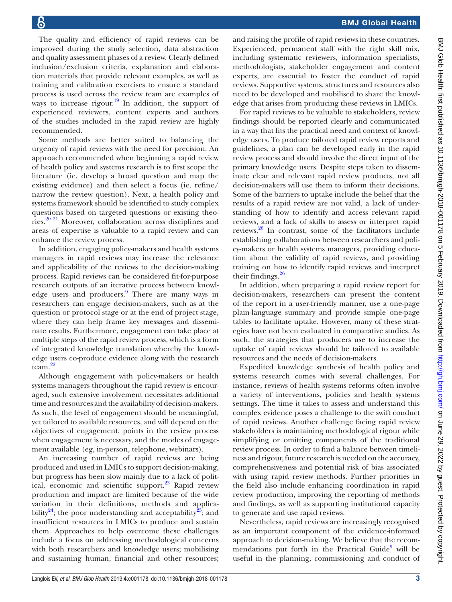The quality and efficiency of rapid reviews can be improved during the study selection, data abstraction and quality assessment phases of a review. Clearly defined inclusion/exclusion criteria, explanation and elaboration materials that provide relevant examples, as well as training and calibration exercises to ensure a standard process is used across the review team are examples of ways to increase rigour.<sup>19</sup> In addition, the support of experienced reviewers, content experts and authors of the studies included in the rapid review are highly recommended.

Some methods are better suited to balancing the urgency of rapid reviews with the need for precision. An approach recommended when beginning a rapid review of health policy and systems research is to first scope the literature (ie, develop a broad question and map the existing evidence) and then select a focus (ie, refine/ narrow the review question). Next, a health policy and systems framework should be identified to study complex questions based on targeted questions or existing theories[.20 21](#page-3-15) Moreover, collaboration across disciplines and areas of expertise is valuable to a rapid review and can enhance the review process.

In addition, engaging policy-makers and health systems managers in rapid reviews may increase the relevance and applicability of the reviews to the decision-making process. Rapid reviews can be considered fit-for-purpose research outputs of an iterative process between knowl-edge users and producers.<sup>[9](#page-3-4)</sup> There are many ways in researchers can engage decision-makers, such as at the question or protocol stage or at the end of project stage, where they can help frame key messages and disseminate results. Furthermore, engagement can take place at multiple steps of the rapid review process, which is a form of integrated knowledge translation whereby the knowledge users co-produce evidence along with the research team[.22](#page-3-16)

Although engagement with policy-makers or health systems managers throughout the rapid review is encouraged, such extensive involvement necessitates additional time and resources and the availability of decision-makers. As such, the level of engagement should be meaningful, yet tailored to available resources, and will depend on the objectives of engagement, points in the review process when engagement is necessary, and the modes of engagement available (eg, in-person, telephone, webinars).

An increasing number of rapid reviews are being produced and used in LMICs to support decision-making, but progress has been slow mainly due to a lack of political, economic and scientific support.<sup>23</sup> Rapid review production and impact are limited because of the wide variation in their definitions, methods and applica-bility<sup>[24](#page-3-18)</sup>; the poor understanding and acceptability<sup>25</sup>; and insufficient resources in LMICs to produce and sustain them. Approaches to help overcome these challenges include a focus on addressing methodological concerns with both researchers and knowledge users; mobilising and sustaining human, financial and other resources;

and raising the profile of rapid reviews in these countries. Experienced, permanent staff with the right skill mix, including systematic reviewers, information specialists, methodologists, stakeholder engagement and content experts, are essential to foster the conduct of rapid reviews. Supportive systems, structures and resources also need to be developed and mobilised to share the knowledge that arises from producing these reviews in LMICs.

For rapid reviews to be valuable to stakeholders, review findings should be reported clearly and communicated in a way that fits the practical need and context of knowledge users. To produce tailored rapid review reports and guidelines, a plan can be developed early in the rapid review process and should involve the direct input of the primary knowledge users. Despite steps taken to disseminate clear and relevant rapid review products, not all decision-makers will use them to inform their decisions. Some of the barriers to uptake include the belief that the results of a rapid review are not valid, a lack of understanding of how to identify and access relevant rapid reviews, and a lack of skills to assess or interpret rapid reviews[.26](#page-3-20) In contrast, some of the facilitators include establishing collaborations between researchers and policy-makers or health systems managers, providing education about the validity of rapid reviews, and providing training on how to identify rapid reviews and interpret their findings.<sup>26</sup>

In addition, when preparing a rapid review report for decision-makers, researchers can present the content of the report in a user-friendly manner, use a one-page plain-language summary and provide simple one-page tables to facilitate uptake. However, many of these strategies have not been evaluated in comparative studies. As such, the strategies that producers use to increase the uptake of rapid reviews should be tailored to available resources and the needs of decision-makers.

Expedited knowledge synthesis of health policy and systems research comes with several challenges. For instance, reviews of health systems reforms often involve a variety of interventions, policies and health systems settings. The time it takes to assess and understand this complex evidence poses a challenge to the swift conduct of rapid reviews. Another challenge facing rapid review stakeholders is maintaining methodological rigour while simplifying or omitting components of the traditional review process. In order to find a balance between timeliness and rigour, future research is needed on the accuracy, comprehensiveness and potential risk of bias associated with using rapid review methods. Further priorities in the field also include enhancing coordination in rapid review production, improving the reporting of methods and findings, as well as supporting institutional capacity to generate and use rapid reviews.

Nevertheless, rapid reviews are increasingly recognised as an important component of the evidence-informed approach to decision-making. We believe that the recom-mendations put forth in the Practical Guide<sup>[9](#page-3-4)</sup> will be useful in the planning, commissioning and conduct of